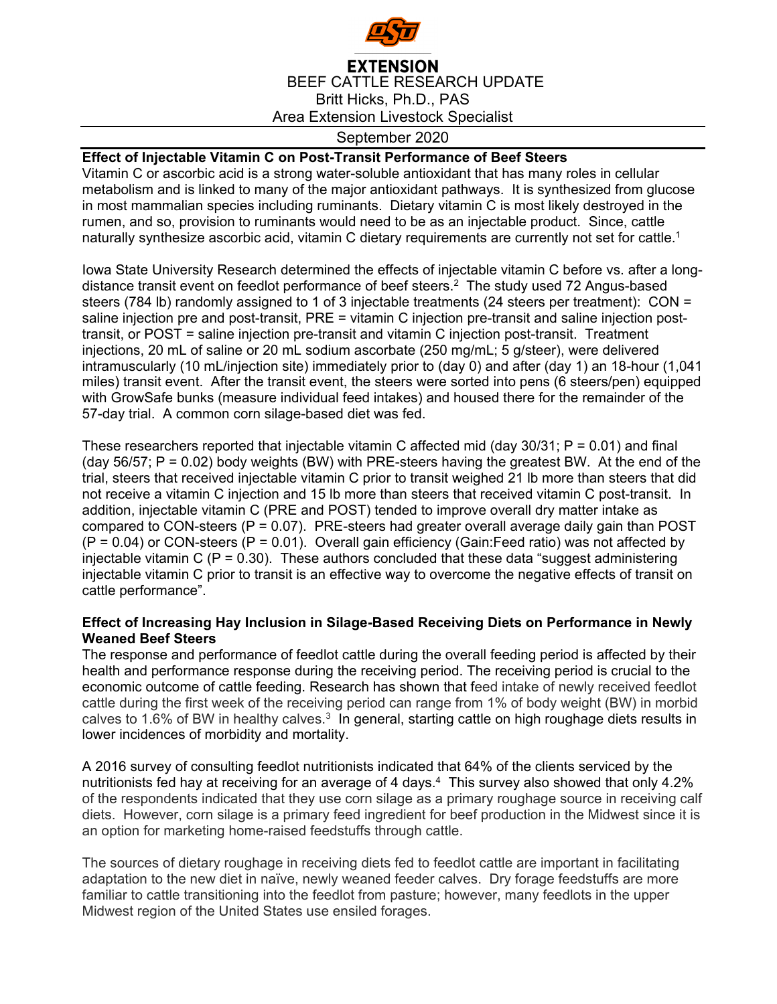

Area Extension Livestock Specialist

## September 2020

## **Effect of Injectable Vitamin C on Post-Transit Performance of Beef Steers**

Vitamin C or ascorbic acid is a strong water-soluble antioxidant that has many roles in cellular metabolism and is linked to many of the major antioxidant pathways. It is synthesized from glucose in most mammalian species including ruminants. Dietary vitamin C is most likely destroyed in the rumen, and so, provision to ruminants would need to be as an injectable product. Since, cattle naturally synthesize ascorbic acid, vitamin C dietary requirements are currently not set for cattle.<sup>1</sup>

Iowa State University Research determined the effects of injectable vitamin C before vs. after a longdistance transit event on feedlot performance of beef steers.<sup>2</sup> The study used 72 Angus-based steers (784 lb) randomly assigned to 1 of 3 injectable treatments (24 steers per treatment): CON = saline injection pre and post-transit, PRE = vitamin C injection pre-transit and saline injection posttransit, or POST = saline injection pre-transit and vitamin C injection post-transit. Treatment injections, 20 mL of saline or 20 mL sodium ascorbate (250 mg/mL; 5 g/steer), were delivered intramuscularly (10 mL/injection site) immediately prior to (day 0) and after (day 1) an 18-hour (1,041 miles) transit event. After the transit event, the steers were sorted into pens (6 steers/pen) equipped with GrowSafe bunks (measure individual feed intakes) and housed there for the remainder of the 57-day trial. A common corn silage-based diet was fed.

These researchers reported that injectable vitamin C affected mid (day 30/31;  $P = 0.01$ ) and final (day 56/57; P = 0.02) body weights (BW) with PRE-steers having the greatest BW. At the end of the trial, steers that received injectable vitamin C prior to transit weighed 21 lb more than steers that did not receive a vitamin C injection and 15 lb more than steers that received vitamin C post-transit. In addition, injectable vitamin C (PRE and POST) tended to improve overall dry matter intake as compared to CON-steers ( $P = 0.07$ ). PRE-steers had greater overall average daily gain than POST  $(P = 0.04)$  or CON-steers  $(P = 0.01)$ . Overall gain efficiency (Gain:Feed ratio) was not affected by injectable vitamin C ( $P = 0.30$ ). These authors concluded that these data "suggest administering injectable vitamin C prior to transit is an effective way to overcome the negative effects of transit on cattle performance".

## **Effect of Increasing Hay Inclusion in Silage-Based Receiving Diets on Performance in Newly Weaned Beef Steers**

The response and performance of feedlot cattle during the overall feeding period is affected by their health and performance response during the receiving period. The receiving period is crucial to the economic outcome of cattle feeding. Research has shown that feed intake of newly received feedlot cattle during the first week of the receiving period can range from 1% of body weight (BW) in morbid calves to 1.6% of BW in healthy calves.<sup>3</sup> In general, starting cattle on high roughage diets results in lower incidences of morbidity and mortality.

A 2016 survey of consulting feedlot nutritionists indicated that 64% of the clients serviced by the nutritionists fed hay at receiving for an average of 4 days.<sup>4</sup> This survey also showed that only 4.2% of the respondents indicated that they use corn silage as a primary roughage source in receiving calf diets. However, corn silage is a primary feed ingredient for beef production in the Midwest since it is an option for marketing home-raised feedstuffs through cattle.

The sources of dietary roughage in receiving diets fed to feedlot cattle are important in facilitating adaptation to the new diet in naïve, newly weaned feeder calves. Dry forage feedstuffs are more familiar to cattle transitioning into the feedlot from pasture; however, many feedlots in the upper Midwest region of the United States use ensiled forages.